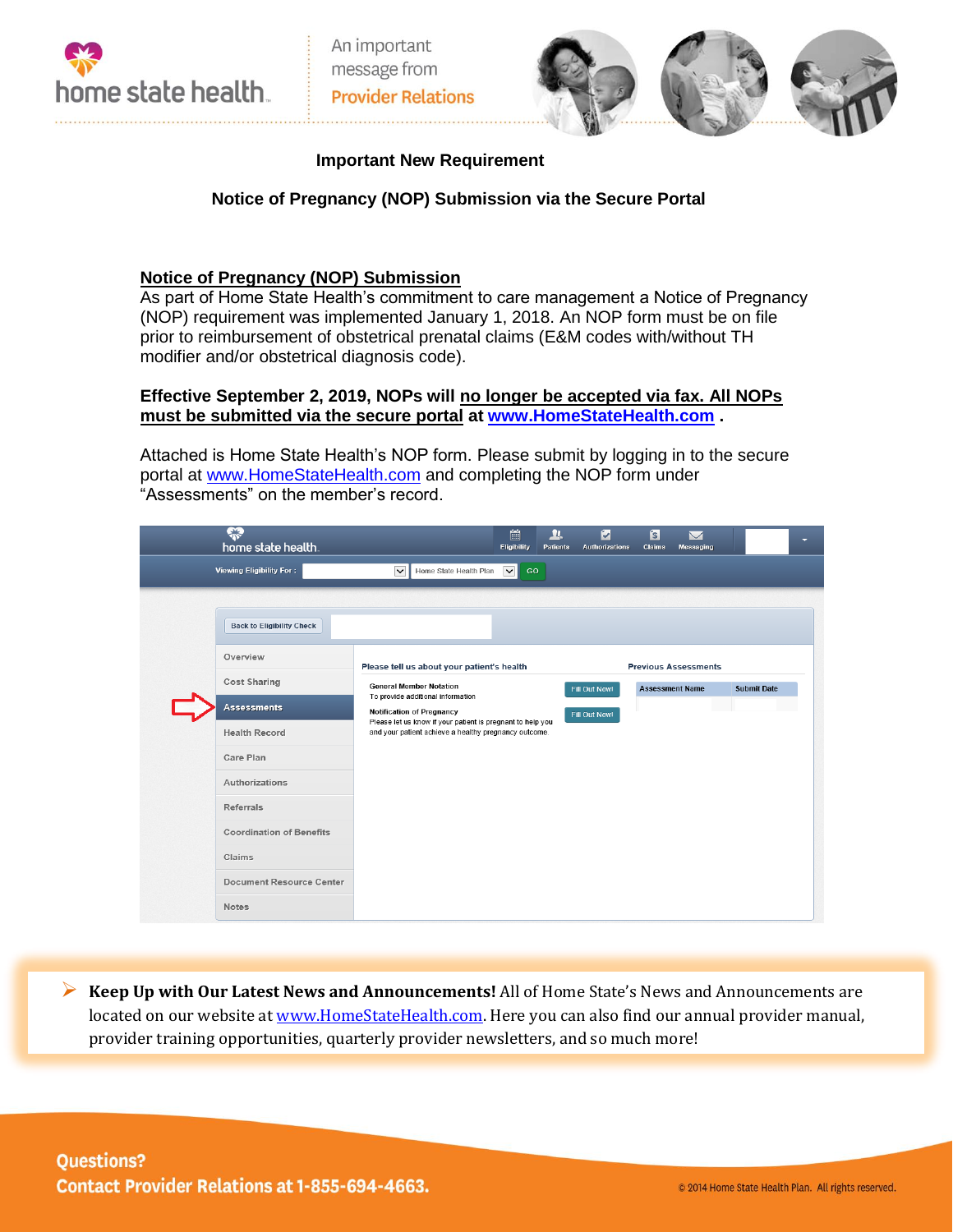



## **Important New Requirement**

## **Notice of Pregnancy (NOP) Submission via the Secure Portal**

## **Notice of Pregnancy (NOP) Submission**

As part of Home State Health's commitment to care management a Notice of Pregnancy (NOP) requirement was implemented January 1, 2018. An NOP form must be on file prior to reimbursement of obstetrical prenatal claims (E&M codes with/without TH modifier and/or obstetrical diagnosis code).

## **Effective September 2, 2019, NOPs will no longer be accepted via fax. All NOPs must be submitted via the secure portal at [www.HomeStateHealth.com](http://www.homestatehealth.com/) .**

Attached is Home State Health's NOP form. Please submit by logging in to the secure portal at [www.HomeStateHealth.com](http://www.homestatehealth.com/) and completing the NOP form under "Assessments" on the member's record.

|  | ₩<br>home state health.          |                                                                                                | 齡<br><b>Eligibility</b> | <u>n</u><br><b>Patients</b> | ø<br><b>Authorizations</b> | $\mathbf{S}$<br>Claims      | $\overline{\smile}$<br>Messaging |                    | ۰ |
|--|----------------------------------|------------------------------------------------------------------------------------------------|-------------------------|-----------------------------|----------------------------|-----------------------------|----------------------------------|--------------------|---|
|  | Viewing Eligibility For:         | $\checkmark$<br>Home State Health Plan                                                         | $\sim$<br>GO            |                             |                            |                             |                                  |                    |   |
|  | <b>Back to Eligibility Check</b> |                                                                                                |                         |                             |                            |                             |                                  |                    |   |
|  | Overview                         | Please tell us about your patient's health                                                     |                         |                             |                            | <b>Previous Assessments</b> |                                  |                    |   |
|  | <b>Cost Sharing</b>              | <b>General Member Notation</b><br>To provide additional information                            | Fill Out Now!           |                             |                            | <b>Assessment Name</b>      |                                  | <b>Submit Date</b> |   |
|  | <b>Assessments</b>               | <b>Notification of Pregnancy</b><br>Please let us know if your patient is pregnant to help you |                         | Fill Out Now!               |                            |                             |                                  |                    |   |
|  | <b>Health Record</b>             | and your patient achieve a healthy pregnancy outcome.                                          |                         |                             |                            |                             |                                  |                    |   |
|  | Care Plan                        |                                                                                                |                         |                             |                            |                             |                                  |                    |   |
|  | Authorizations                   |                                                                                                |                         |                             |                            |                             |                                  |                    |   |
|  | Referrals                        |                                                                                                |                         |                             |                            |                             |                                  |                    |   |
|  | <b>Coordination of Benefits</b>  |                                                                                                |                         |                             |                            |                             |                                  |                    |   |
|  | Claims                           |                                                                                                |                         |                             |                            |                             |                                  |                    |   |
|  | <b>Document Resource Center</b>  |                                                                                                |                         |                             |                            |                             |                                  |                    |   |
|  | <b>Notes</b>                     |                                                                                                |                         |                             |                            |                             |                                  |                    |   |

 **Keep Up with Our Latest News and Announcements!** All of Home State's News and Announcements are located on our website a[t www.HomeStateHealth.com.](http://www.homestatehealth.com/) Here you can also find our annual provider manual, provider training opportunities, quarterly provider newsletters, and so much more!